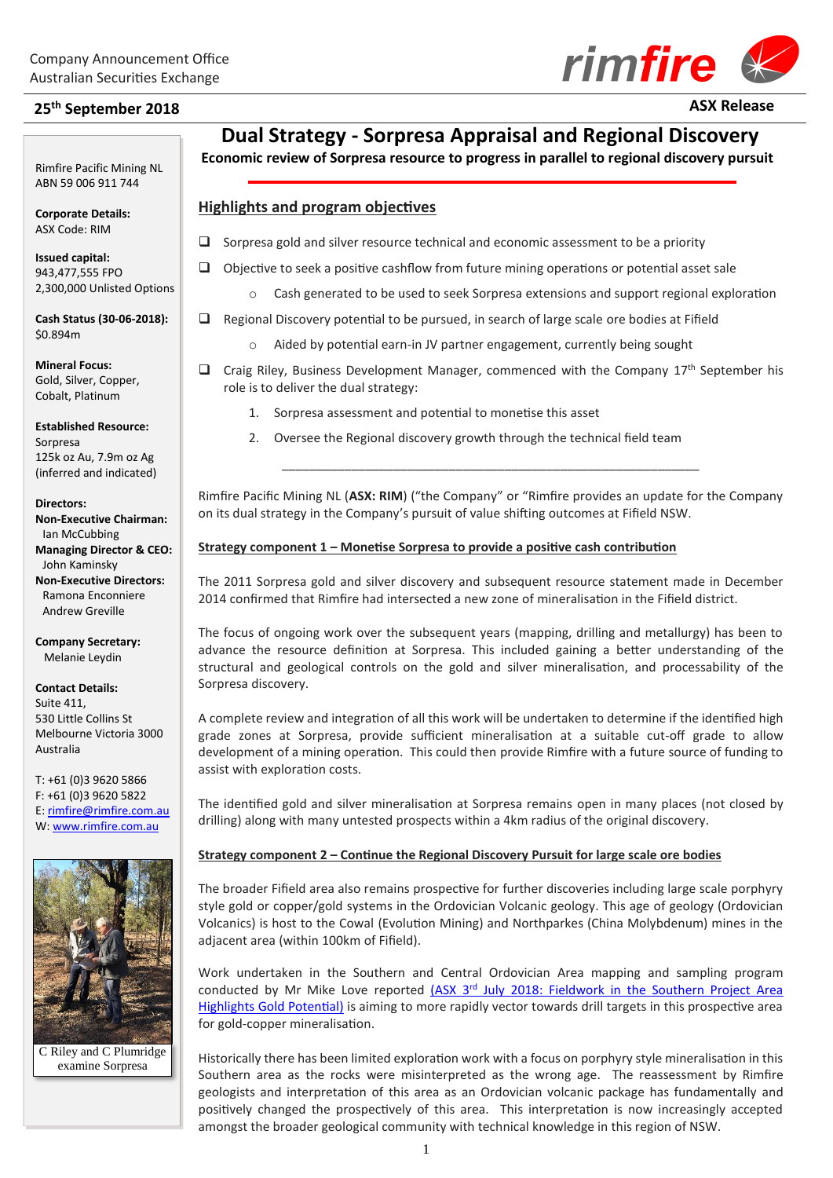# **25th September 2018 ASX Release**

Rimfire Pacific Mining NL ABN 59 006 911 744

**Corporate Details:** ASX Code: RIM

**2018**

**Issued capital:** 943,477,555 FPO 2,300,000 Unlisted Options

**Cash Status (30-06-2018):** \$0.894m

**Mineral Focus:** Gold, Silver, Copper, Cobalt, Platinum

**Established Resource:** Sorpresa 125k oz Au, 7.9m oz Ag (inferred and indicated)

**Directors:**

**Non-Executive Chairman:** Ian McCubbing **Managing Director & CEO:** John Kaminsky **Non-Executive Directors:** Ramona Enconniere Andrew Greville

**Company Secretary:** Melanie Leydin

### **Contact Details:** Suite 411, 530 Little Collins St

Melbourne Victoria 3000 Australia

T: +61 (0)3 9620 5866 F: +61 (0)3 9620 5822 E[: rimfire@rimfire.com.au](mailto:rimfire@rimfire.com.au) W: [www.rimfire.com.au](http://www.rimfire.com.au/)



C Riley and C Plumridge examine Sorpresa

## **Dual Strategy - Sorpresa Appraisal and Regional Discovery**

**Economic review of Sorpresa resource to progress in parallel to regional discovery pursuit**

#### **Highlights and program objectives**

- $\Box$  Sorpresa gold and silver resource technical and economic assessment to be a priority
- ❑ Objective to seek a positive cashflow from future mining operations or potential asset sale
	- o Cash generated to be used to seek Sorpresa extensions and support regional exploration
- ❑ Regional Discovery potential to be pursued, in search of large scale ore bodies at Fifield
	- Aided by potential earn-in JV partner engagement, currently being sought
- $\Box$  Craig Riley, Business Development Manager, commenced with the Company 17<sup>th</sup> September his role is to deliver the dual strategy:
	- 1. Sorpresa assessment and potential to monetise this asset
	- 2. Oversee the Regional discovery growth through the technical field team

Rimfire Pacific Mining NL (**ASX: RIM**) ("the Company" or "Rimfire provides an update for the Company on its dual strategy in the Company's pursuit of value shifting outcomes at Fifield NSW.

\_\_\_\_\_\_\_\_\_\_\_\_\_\_\_\_\_\_\_\_\_\_\_\_\_\_\_\_\_\_\_\_\_\_\_\_\_\_\_\_\_\_\_\_\_\_\_\_\_\_\_\_\_\_\_\_\_\_\_\_

#### **Strategy component 1 – Monetise Sorpresa to provide a positive cash contribution**

The 2011 Sorpresa gold and silver discovery and subsequent resource statement made in December 2014 confirmed that Rimfire had intersected a new zone of mineralisation in the Fifield district.

The focus of ongoing work over the subsequent years (mapping, drilling and metallurgy) has been to advance the resource definition at Sorpresa. This included gaining a better understanding of the structural and geological controls on the gold and silver mineralisation, and processability of the Sorpresa discovery.

A complete review and integration of all this work will be undertaken to determine if the identified high grade zones at Sorpresa, provide sufficient mineralisation at a suitable cut-off grade to allow development of a mining operation. This could then provide Rimfire with a future source of funding to assist with exploration costs.

The identified gold and silver mineralisation at Sorpresa remains open in many places (not closed by drilling) along with many untested prospects within a 4km radius of the original discovery.

#### **Strategy component 2 – Continue the Regional Discovery Pursuit for large scale ore bodies**

The broader Fifield area also remains prospective for further discoveries including large scale porphyry style gold or copper/gold systems in the Ordovician Volcanic geology. This age of geology (Ordovician Volcanics) is host to the Cowal (Evolution Mining) and Northparkes (China Molybdenum) mines in the adjacent area (within 100km of Fifield).

Work undertaken in the Southern and Central Ordovician Area mapping and sampling program conducted by Mr Mike Love reported (ASX 3<sup>rd</sup> July 2018: Fieldwork in the Southern Project Area [Highlights Gold Potential\)](http://www.rimfire.com.au/irm/PDF/2252_0/SouthernProjectAreaFieldworkHighlightsGoldPotential) is aiming to more rapidly vector towards drill targets in this prospective area for gold-copper mineralisation.

Historically there has been limited exploration work with a focus on porphyry style mineralisation in this Southern area as the rocks were misinterpreted as the wrong age. The reassessment by Rimfire geologists and interpretation of this area as an Ordovician volcanic package has fundamentally and positively changed the prospectively of this area. This interpretation is now increasingly accepted amongst the broader geological community with technical knowledge in this region of NSW.

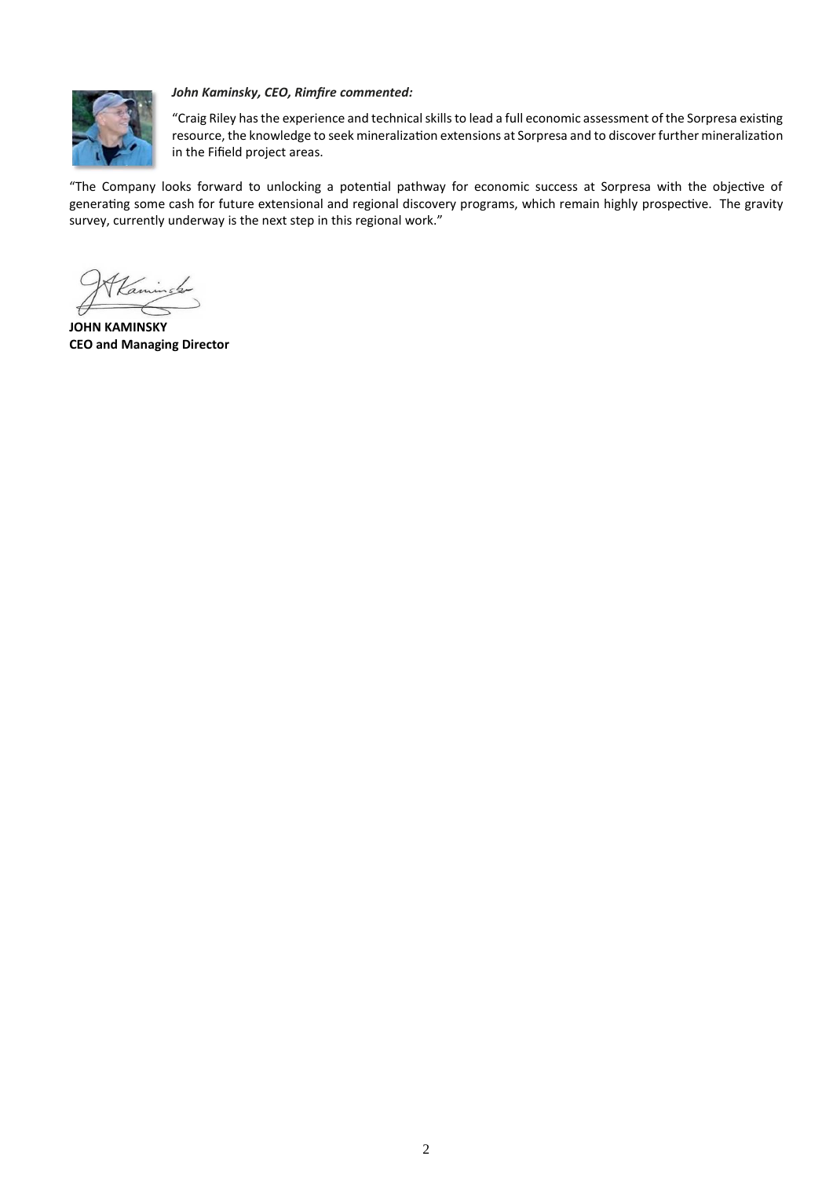

#### *John Kaminsky, CEO, Rimfire commented:*

"Craig Riley has the experience and technical skills to lead a full economic assessment of the Sorpresa existing resource, the knowledge to seek mineralization extensions at Sorpresa and to discover further mineralization in the Fifield project areas.

"The Company looks forward to unlocking a potential pathway for economic success at Sorpresa with the objective of generating some cash for future extensional and regional discovery programs, which remain highly prospective. The gravity survey, currently underway is the next step in this regional work."

**JOHN KAMINSKY CEO and Managing Director**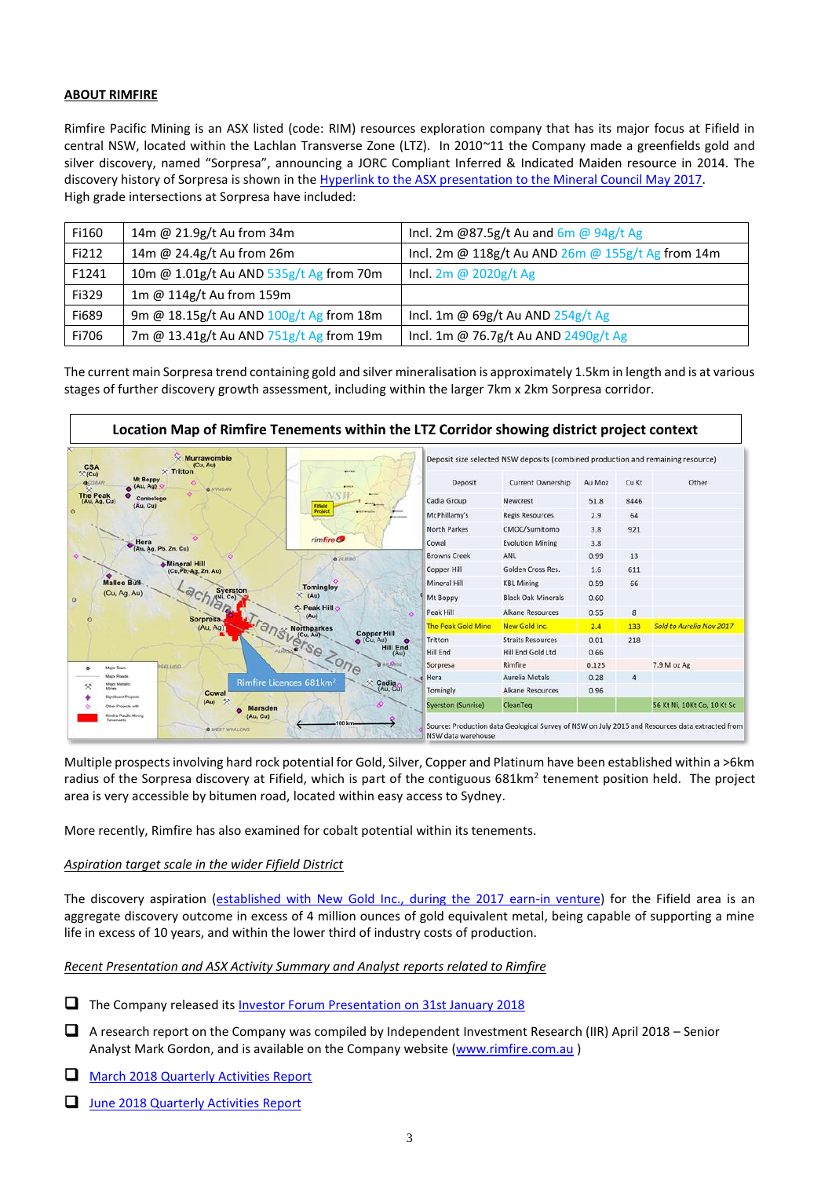#### **ABOUT RIMFIRE**

Rimfire Pacific Mining is an ASX listed (code: RIM) resources exploration company that has its major focus at Fifield in central NSW, located within the Lachlan Transverse Zone (LTZ). In 2010~11 the Company made a greenfields gold and silver discovery, named "Sorpresa", announcing a JORC Compliant Inferred & Indicated Maiden resource in 2014. The discovery history of Sorpresa is shown in the [Hyperlink to the ASX presentation to the Mineral Council May 2017.](http://www.rimfire.com.au/irm/PDF/2074_0/NSWMineralsCouncilExplorationForumTheRocksandBeyondSorpresaDiscoveryCaseStudy) High grade intersections at Sorpresa have included:

| Fi160 | 14m @ 21.9g/t Au from 34m               | Incl. 2m @87.5g/t Au and $6m$ @ 94g/t Ag          |
|-------|-----------------------------------------|---------------------------------------------------|
| Fi212 | 14m @ 24.4g/t Au from 26m               | Incl. 2m @ 118g/t Au AND 26m @ 155g/t Ag from 14m |
| F1241 | 10m @ 1.01g/t Au AND 535g/t Ag from 70m | Incl. 2m @ 2020g/t Ag                             |
| Fi329 | 1m @ 114g/t Au from 159m                |                                                   |
| Fi689 | 9m @ 18.15g/t Au AND 100g/t Ag from 18m | Incl. 1m @ 69g/t Au AND 254g/t Ag                 |
| Fi706 | 7m @ 13.41g/t Au AND 751g/t Ag from 19m | Incl. 1m @ 76.7g/t Au AND 2490g/t Ag              |

The current main Sorpresa trend containing gold and silver mineralisation is approximately 1.5km in length and is at various stages of further discovery growth assessment, including within the larger 7km x 2km Sorpresa corridor.



Multiple prospects involving hard rock potential for Gold, Silver, Copper and Platinum have been established within a >6km radius of the Sorpresa discovery at Fifield, which is part of the contiguous 681km<sup>2</sup> tenement position held. The project area is very accessible by bitumen road, located within easy access to Sydney.

More recently, Rimfire has also examined for cobalt potential within its tenements.

#### *Aspiration target scale in the wider Fifield District*

The discovery aspiration [\(established with New Gold Inc., during the 2017 earn-in venture\)](http://www.rimfire.com.au/irm/PDF/1945_0/StrategyOutlineGeophysicsandRCDrillingComplete) for the Fifield area is an aggregate discovery outcome in excess of 4 million ounces of gold equivalent metal, being capable of supporting a mine life in excess of 10 years, and within the lower third of industry costs of production.

#### *Recent Presentation and ASX Activity Summary and Analyst reports related to Rimfire*

□ The Company released its **Investor [Forum Presentation on 31st January 2018](http://www.rimfire.com.au/irm/PDF/2170_0/PresentationtoProactiveInvestorForums)** 

- ❑ A research report on the Company was compiled by Independent Investment Research (IIR) April 2018 Senior Analyst Mark Gordon, and is available on the Company website [\(www.rimfire.com.au](http://www.rimfire.com.au/))
- □ [March 2018 Quarterly Activities Report](http://www.rimfire.com.au/irm/PDF/2233_0/March2018QuarterlyActivitiesReport)
- □ [June 2018 Quarterly Activities Report](http://www.rimfire.com.au/irm/PDF/2255_0/June2018QuarterlyActivitiesReport)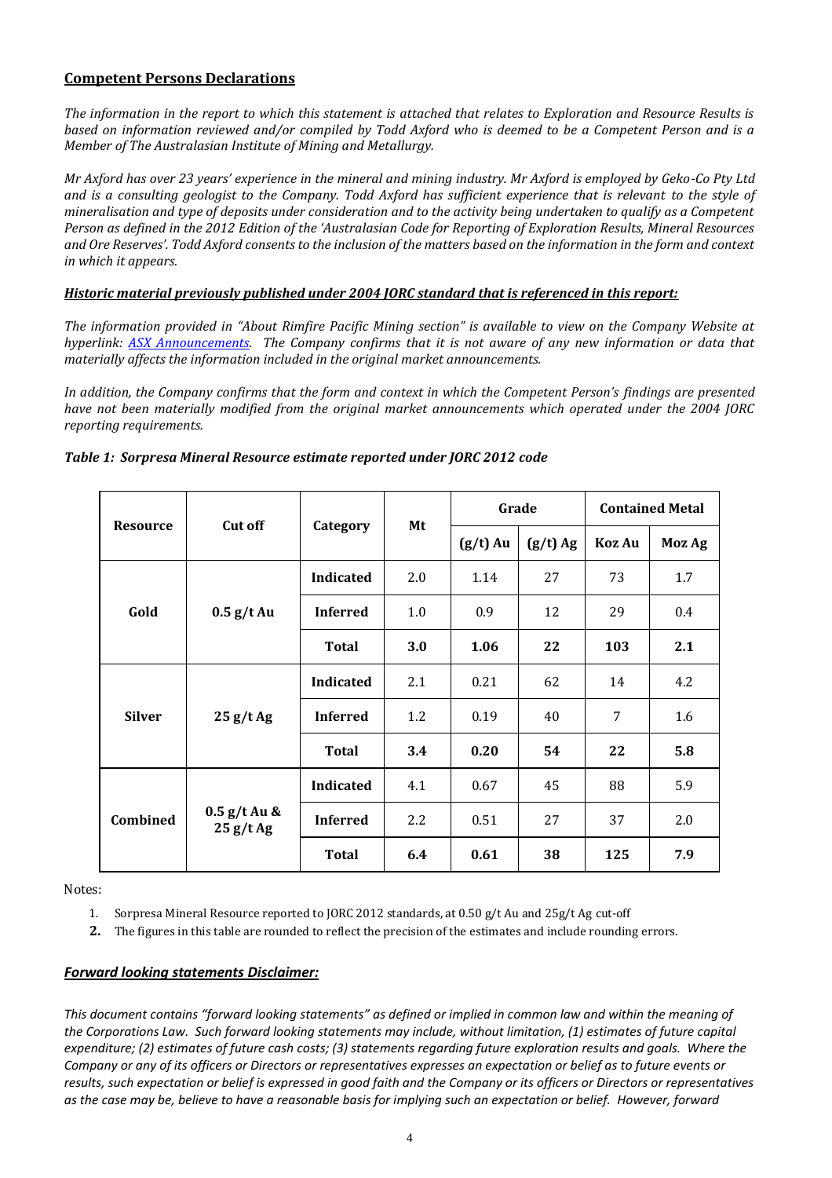### **Competent Persons Declarations**

*The information in the report to which this statement is attached that relates to Exploration and Resource Results is based on information reviewed and/or compiled by Todd Axford who is deemed to be a Competent Person and is a Member of The Australasian Institute of Mining and Metallurgy.* 

*Mr Axford has over 23 years' experience in the mineral and mining industry. Mr Axford is employed by Geko-Co Pty Ltd and is a consulting geologist to the Company. Todd Axford has sufficient experience that is relevant to the style of mineralisation and type of deposits under consideration and to the activity being undertaken to qualify as a Competent Person as defined in the 2012 Edition of the 'Australasian Code for Reporting of Exploration Results, Mineral Resources and Ore Reserves'. Todd Axford consents to the inclusion of the matters based on the information in the form and context in which it appears.* 

#### *Historic material previously published under 2004 JORC standard that is referenced in this report:*

*The information provided in "About Rimfire Pacific Mining section" is available to view on the Company Website at hyperlink: [ASX Announcements.](http://www.rimfire.com.au/asx_announcements.htm) The Company confirms that it is not aware of any new information or data that materially affects the information included in the original market announcements.* 

*In addition, the Company confirms that the form and context in which the Competent Person's findings are presented have not been materially modified from the original market announcements which operated under the 2004 JORC reporting requirements.* 

|                 | <b>Cut off</b>             | Category         | Mt         | Grade      |            | <b>Contained Metal</b> |        |
|-----------------|----------------------------|------------------|------------|------------|------------|------------------------|--------|
| <b>Resource</b> |                            |                  |            | $(g/t)$ Au | $(g/t)$ Ag | Koz Au                 | Moz Ag |
|                 | $0.5$ g/t Au               | <b>Indicated</b> | 2.0        | 1.14       | 27         | 73                     | 1.7    |
| Gold            |                            | <b>Inferred</b>  | 1.0        | 0.9        | 12         | 29                     | 0.4    |
|                 |                            | <b>Total</b>     | <b>3.0</b> | 1.06       | 22         | 103                    | 2.1    |
| <b>Silver</b>   | 25 g/tAg                   | <b>Indicated</b> | 2.1        | 0.21       | 62         | 14                     | 4.2    |
|                 |                            | <b>Inferred</b>  | 1.2        | 0.19       | 40         | 7                      | 1.6    |
|                 |                            | <b>Total</b>     | 3.4        | 0.20       | 54         | 22                     | 5.8    |
|                 | $0.5$ g/t Au &<br>25 g/tAg | <b>Indicated</b> | 4.1        | 0.67       | 45         | 88                     | 5.9    |
| Combined        |                            | <b>Inferred</b>  | 2.2        | 0.51       | 27         | 37                     | 2.0    |
|                 |                            | <b>Total</b>     | 6.4        | 0.61       | 38         | 125                    | 7.9    |

#### *Table 1: Sorpresa Mineral Resource estimate reported under JORC 2012 code*

Notes:

1. Sorpresa Mineral Resource reported to JORC 2012 standards, at 0.50 g/t Au and 25g/t Ag cut‐off

**2.** The figures in this table are rounded to reflect the precision of the estimates and include rounding errors.

#### *Forward looking statements Disclaimer:*

*This document contains "forward looking statements" as defined or implied in common law and within the meaning of the Corporations Law. Such forward looking statements may include, without limitation, (1) estimates of future capital expenditure; (2) estimates of future cash costs; (3) statements regarding future exploration results and goals. Where the Company or any of its officers or Directors or representatives expresses an expectation or belief as to future events or results, such expectation or belief is expressed in good faith and the Company or its officers or Directors or representatives as the case may be, believe to have a reasonable basis for implying such an expectation or belief. However, forward*